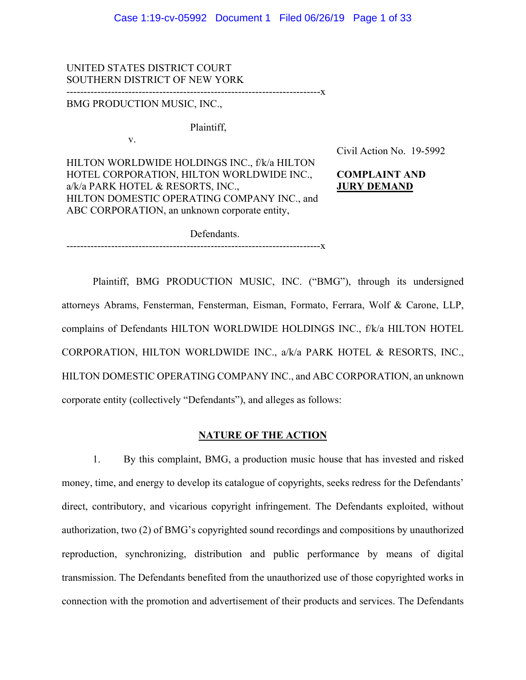### UNITED STATES DISTRICT COURT SOUTHERN DISTRICT OF NEW YORK

--------------------------------------------------------------------------x

BMG PRODUCTION MUSIC, INC.,

Plaintiff,

v.

HILTON WORLDWIDE HOLDINGS INC., f/k/a HILTON HOTEL CORPORATION, HILTON WORLDWIDE INC., a/k/a PARK HOTEL & RESORTS, INC., HILTON DOMESTIC OPERATING COMPANY INC., and ABC CORPORATION, an unknown corporate entity,

Civil Action No. 19-5992

# **COMPLAINT AND JURY DEMAND**

 Defendants. --------------------------------------------------------------------------x

Plaintiff, BMG PRODUCTION MUSIC, INC. ("BMG"), through its undersigned attorneys Abrams, Fensterman, Fensterman, Eisman, Formato, Ferrara, Wolf & Carone, LLP, complains of Defendants HILTON WORLDWIDE HOLDINGS INC., f/k/a HILTON HOTEL CORPORATION, HILTON WORLDWIDE INC., a/k/a PARK HOTEL & RESORTS, INC., HILTON DOMESTIC OPERATING COMPANY INC., and ABC CORPORATION, an unknown corporate entity (collectively "Defendants"), and alleges as follows:

### **NATURE OF THE ACTION**

1. By this complaint, BMG, a production music house that has invested and risked money, time, and energy to develop its catalogue of copyrights, seeks redress for the Defendants' direct, contributory, and vicarious copyright infringement. The Defendants exploited, without authorization, two (2) of BMG's copyrighted sound recordings and compositions by unauthorized reproduction, synchronizing, distribution and public performance by means of digital transmission. The Defendants benefited from the unauthorized use of those copyrighted works in connection with the promotion and advertisement of their products and services. The Defendants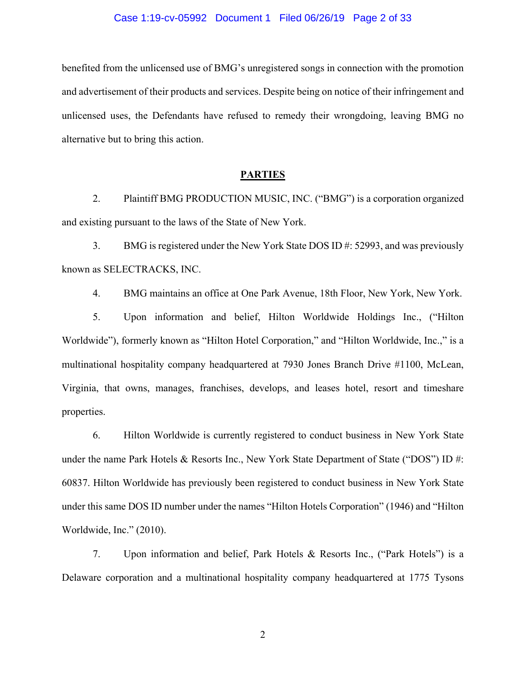#### Case 1:19-cv-05992 Document 1 Filed 06/26/19 Page 2 of 33

benefited from the unlicensed use of BMG's unregistered songs in connection with the promotion and advertisement of their products and services. Despite being on notice of their infringement and unlicensed uses, the Defendants have refused to remedy their wrongdoing, leaving BMG no alternative but to bring this action.

### **PARTIES**

2. Plaintiff BMG PRODUCTION MUSIC, INC. ("BMG") is a corporation organized and existing pursuant to the laws of the State of New York.

3. BMG is registered under the New York State DOS ID #: 52993, and was previously known as SELECTRACKS, INC.

4. BMG maintains an office at One Park Avenue, 18th Floor, New York, New York.

5. Upon information and belief, Hilton Worldwide Holdings Inc., ("Hilton Worldwide"), formerly known as "Hilton Hotel Corporation," and "Hilton Worldwide, Inc.," is a multinational hospitality company headquartered at 7930 Jones Branch Drive #1100, McLean, Virginia, that owns, manages, franchises, develops, and leases hotel, resort and timeshare properties.

6. Hilton Worldwide is currently registered to conduct business in New York State under the name Park Hotels & Resorts Inc., New York State Department of State ("DOS") ID #: 60837. Hilton Worldwide has previously been registered to conduct business in New York State under this same DOS ID number under the names "Hilton Hotels Corporation" (1946) and "Hilton Worldwide, Inc." (2010).

7. Upon information and belief, Park Hotels & Resorts Inc., ("Park Hotels") is a Delaware corporation and a multinational hospitality company headquartered at 1775 Tysons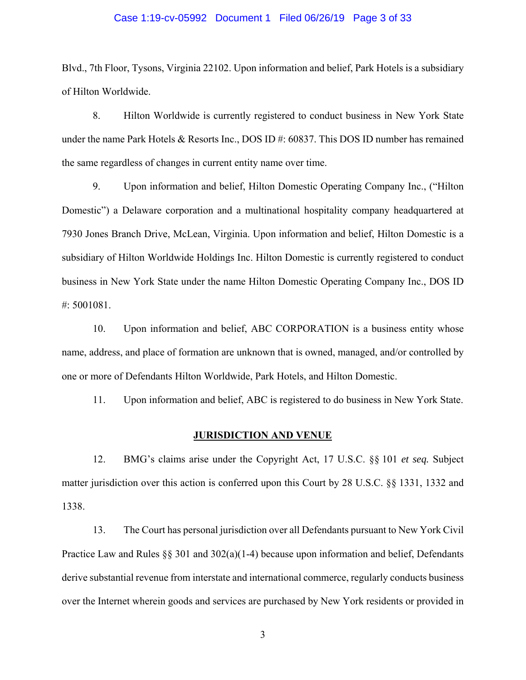#### Case 1:19-cv-05992 Document 1 Filed 06/26/19 Page 3 of 33

Blvd., 7th Floor, Tysons, Virginia 22102. Upon information and belief, Park Hotels is a subsidiary of Hilton Worldwide.

8. Hilton Worldwide is currently registered to conduct business in New York State under the name Park Hotels & Resorts Inc., DOS ID #: 60837. This DOS ID number has remained the same regardless of changes in current entity name over time.

9. Upon information and belief, Hilton Domestic Operating Company Inc., ("Hilton Domestic") a Delaware corporation and a multinational hospitality company headquartered at 7930 Jones Branch Drive, McLean, Virginia. Upon information and belief, Hilton Domestic is a subsidiary of Hilton Worldwide Holdings Inc. Hilton Domestic is currently registered to conduct business in New York State under the name Hilton Domestic Operating Company Inc., DOS ID #: 5001081.

10. Upon information and belief, ABC CORPORATION is a business entity whose name, address, and place of formation are unknown that is owned, managed, and/or controlled by one or more of Defendants Hilton Worldwide, Park Hotels, and Hilton Domestic.

11. Upon information and belief, ABC is registered to do business in New York State.

#### **JURISDICTION AND VENUE**

12. BMG's claims arise under the Copyright Act, 17 U.S.C. §§ 101 *et seq.* Subject matter jurisdiction over this action is conferred upon this Court by 28 U.S.C. §§ 1331, 1332 and 1338.

13. The Court has personal jurisdiction over all Defendants pursuant to New York Civil Practice Law and Rules §§ 301 and 302(a)(1-4) because upon information and belief, Defendants derive substantial revenue from interstate and international commerce, regularly conducts business over the Internet wherein goods and services are purchased by New York residents or provided in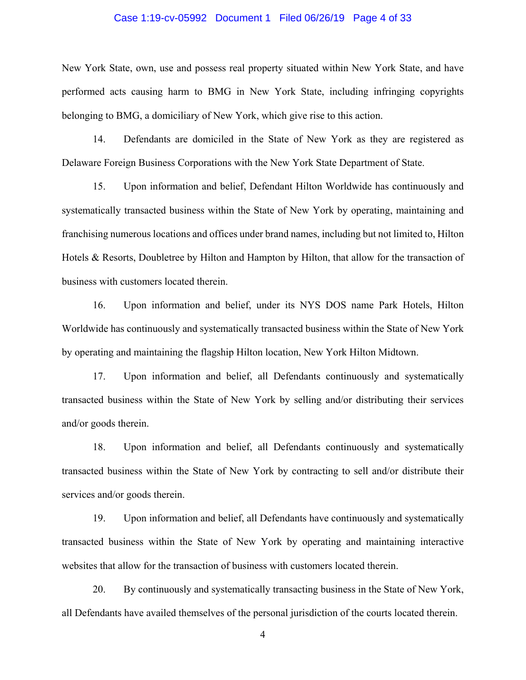#### Case 1:19-cv-05992 Document 1 Filed 06/26/19 Page 4 of 33

New York State, own, use and possess real property situated within New York State, and have performed acts causing harm to BMG in New York State, including infringing copyrights belonging to BMG, a domiciliary of New York, which give rise to this action.

14. Defendants are domiciled in the State of New York as they are registered as Delaware Foreign Business Corporations with the New York State Department of State.

15. Upon information and belief, Defendant Hilton Worldwide has continuously and systematically transacted business within the State of New York by operating, maintaining and franchising numerous locations and offices under brand names, including but not limited to, Hilton Hotels & Resorts, Doubletree by Hilton and Hampton by Hilton, that allow for the transaction of business with customers located therein.

16. Upon information and belief, under its NYS DOS name Park Hotels, Hilton Worldwide has continuously and systematically transacted business within the State of New York by operating and maintaining the flagship Hilton location, New York Hilton Midtown.

17. Upon information and belief, all Defendants continuously and systematically transacted business within the State of New York by selling and/or distributing their services and/or goods therein.

18. Upon information and belief, all Defendants continuously and systematically transacted business within the State of New York by contracting to sell and/or distribute their services and/or goods therein.

19. Upon information and belief, all Defendants have continuously and systematically transacted business within the State of New York by operating and maintaining interactive websites that allow for the transaction of business with customers located therein.

20. By continuously and systematically transacting business in the State of New York, all Defendants have availed themselves of the personal jurisdiction of the courts located therein.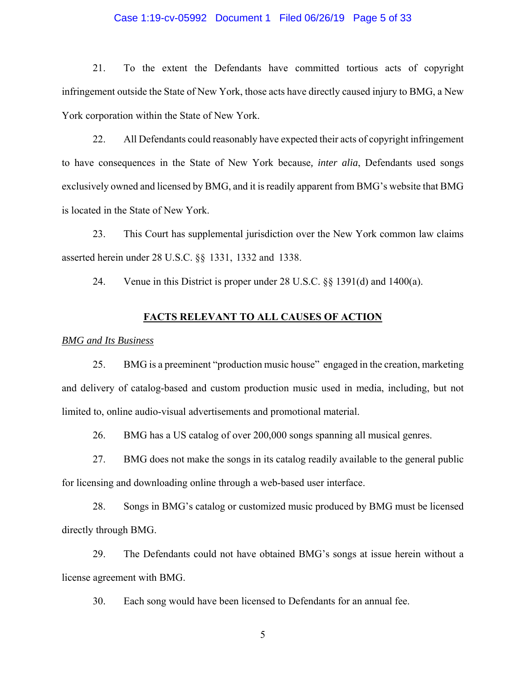#### Case 1:19-cv-05992 Document 1 Filed 06/26/19 Page 5 of 33

21. To the extent the Defendants have committed tortious acts of copyright infringement outside the State of New York, those acts have directly caused injury to BMG, a New York corporation within the State of New York.

22. All Defendants could reasonably have expected their acts of copyright infringement to have consequences in the State of New York because*, inter alia*, Defendants used songs exclusively owned and licensed by BMG, and it is readily apparent from BMG's website that BMG is located in the State of New York.

23. This Court has supplemental jurisdiction over the New York common law claims asserted herein under 28 U.S.C. §§ 1331, 1332 and 1338.

24. Venue in this District is proper under 28 U.S.C. §§ 1391(d) and 1400(a).

### **FACTS RELEVANT TO ALL CAUSES OF ACTION**

### *BMG and Its Business*

25. BMG is a preeminent "production music house" engaged in the creation, marketing and delivery of catalog-based and custom production music used in media, including, but not limited to, online audio-visual advertisements and promotional material.

26. BMG has a US catalog of over 200,000 songs spanning all musical genres.

27. BMG does not make the songs in its catalog readily available to the general public for licensing and downloading online through a web-based user interface.

28. Songs in BMG's catalog or customized music produced by BMG must be licensed directly through BMG.

29. The Defendants could not have obtained BMG's songs at issue herein without a license agreement with BMG.

30. Each song would have been licensed to Defendants for an annual fee.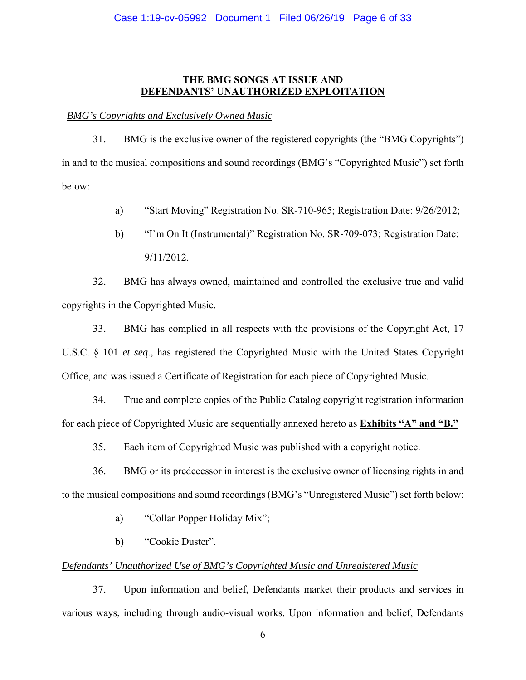## **THE BMG SONGS AT ISSUE AND DEFENDANTS' UNAUTHORIZED EXPLOITATION**

### *BMG's Copyrights and Exclusively Owned Music*

31. BMG is the exclusive owner of the registered copyrights (the "BMG Copyrights") in and to the musical compositions and sound recordings (BMG's "Copyrighted Music") set forth below:

a) "Start Moving" Registration No. SR-710-965; Registration Date: 9/26/2012;

b) "I`m On It (Instrumental)" Registration No. SR-709-073; Registration Date: 9/11/2012.

32. BMG has always owned, maintained and controlled the exclusive true and valid copyrights in the Copyrighted Music.

33. BMG has complied in all respects with the provisions of the Copyright Act, 17 U.S.C. § 101 *et seq*., has registered the Copyrighted Music with the United States Copyright Office, and was issued a Certificate of Registration for each piece of Copyrighted Music.

34. True and complete copies of the Public Catalog copyright registration information for each piece of Copyrighted Music are sequentially annexed hereto as **Exhibits "A" and "B."**

35. Each item of Copyrighted Music was published with a copyright notice.

36. BMG or its predecessor in interest is the exclusive owner of licensing rights in and to the musical compositions and sound recordings (BMG's "Unregistered Music") set forth below:

a) "Collar Popper Holiday Mix";

b) "Cookie Duster".

### *Defendants' Unauthorized Use of BMG's Copyrighted Music and Unregistered Music*

37. Upon information and belief, Defendants market their products and services in various ways, including through audio-visual works. Upon information and belief, Defendants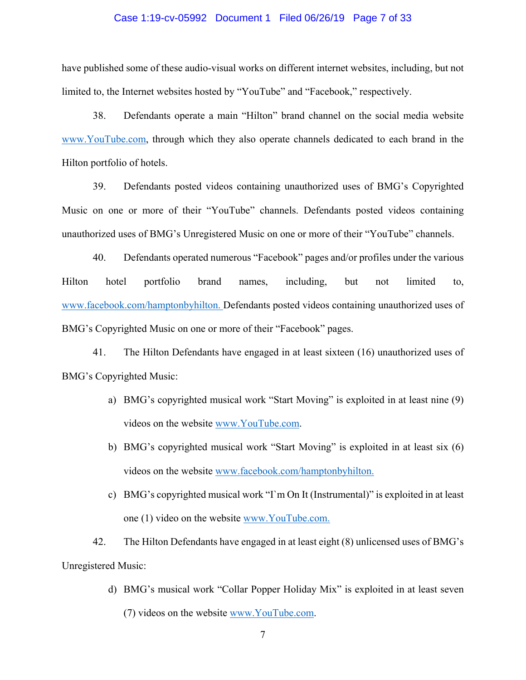#### Case 1:19-cv-05992 Document 1 Filed 06/26/19 Page 7 of 33

have published some of these audio-visual works on different internet websites, including, but not limited to, the Internet websites hosted by "YouTube" and "Facebook," respectively.

38. Defendants operate a main "Hilton" brand channel on the social media website www.YouTube.com, through which they also operate channels dedicated to each brand in the Hilton portfolio of hotels.

39. Defendants posted videos containing unauthorized uses of BMG's Copyrighted Music on one or more of their "YouTube" channels. Defendants posted videos containing unauthorized uses of BMG's Unregistered Music on one or more of their "YouTube" channels.

40. Defendants operated numerous "Facebook" pages and/or profiles under the various Hilton hotel portfolio brand names, including, but not limited to, www.facebook.com/hamptonbyhilton. Defendants posted videos containing unauthorized uses of BMG's Copyrighted Music on one or more of their "Facebook" pages.

41. The Hilton Defendants have engaged in at least sixteen (16) unauthorized uses of BMG's Copyrighted Music:

- a) BMG's copyrighted musical work "Start Moving" is exploited in at least nine (9) videos on the website www.YouTube.com.
- b) BMG's copyrighted musical work "Start Moving" is exploited in at least six (6) videos on the website www.facebook.com/hamptonbyhilton.
- c) BMG's copyrighted musical work "I`m On It (Instrumental)" is exploited in at least one (1) video on the website www.YouTube.com.

42. The Hilton Defendants have engaged in at least eight (8) unlicensed uses of BMG's Unregistered Music:

> d) BMG's musical work "Collar Popper Holiday Mix" is exploited in at least seven (7) videos on the website www.YouTube.com.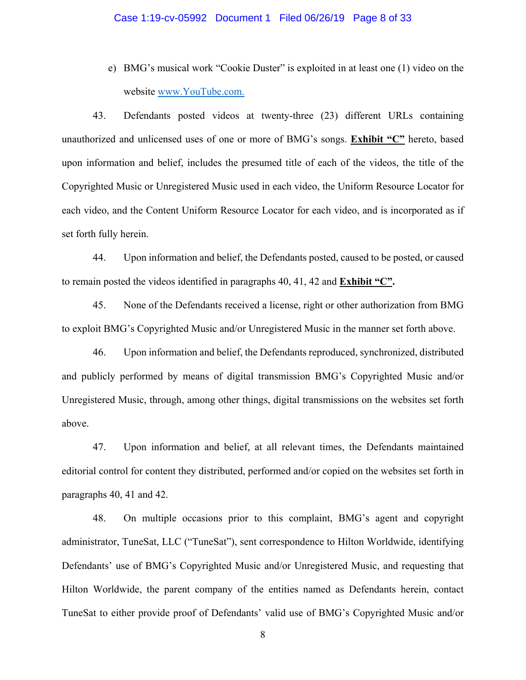e) BMG's musical work "Cookie Duster" is exploited in at least one (1) video on the website www.YouTube.com.

43. Defendants posted videos at twenty-three (23) different URLs containing unauthorized and unlicensed uses of one or more of BMG's songs. **Exhibit "C"** hereto, based upon information and belief, includes the presumed title of each of the videos, the title of the Copyrighted Music or Unregistered Music used in each video, the Uniform Resource Locator for each video, and the Content Uniform Resource Locator for each video, and is incorporated as if set forth fully herein.

44. Upon information and belief, the Defendants posted, caused to be posted, or caused to remain posted the videos identified in paragraphs 40, 41, 42 and **Exhibit "C".**

45. None of the Defendants received a license, right or other authorization from BMG to exploit BMG's Copyrighted Music and/or Unregistered Music in the manner set forth above.

46. Upon information and belief, the Defendants reproduced, synchronized, distributed and publicly performed by means of digital transmission BMG's Copyrighted Music and/or Unregistered Music, through, among other things, digital transmissions on the websites set forth above.

47. Upon information and belief, at all relevant times, the Defendants maintained editorial control for content they distributed, performed and/or copied on the websites set forth in paragraphs 40, 41 and 42.

48. On multiple occasions prior to this complaint, BMG's agent and copyright administrator, TuneSat, LLC ("TuneSat"), sent correspondence to Hilton Worldwide, identifying Defendants' use of BMG's Copyrighted Music and/or Unregistered Music, and requesting that Hilton Worldwide, the parent company of the entities named as Defendants herein, contact TuneSat to either provide proof of Defendants' valid use of BMG's Copyrighted Music and/or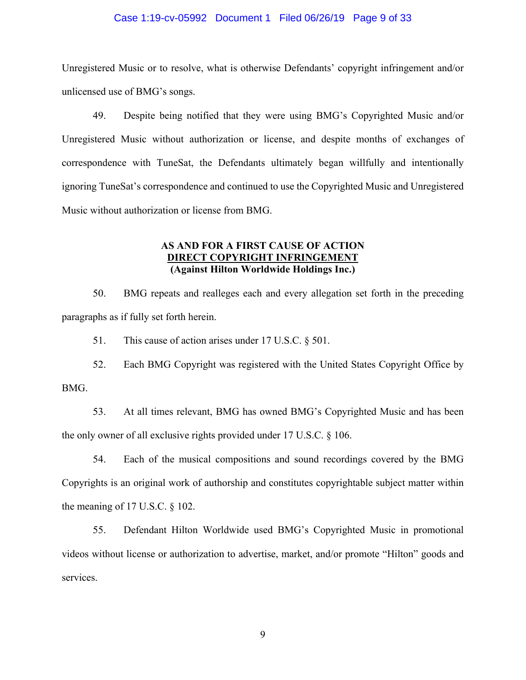#### Case 1:19-cv-05992 Document 1 Filed 06/26/19 Page 9 of 33

Unregistered Music or to resolve, what is otherwise Defendants' copyright infringement and/or unlicensed use of BMG's songs.

49. Despite being notified that they were using BMG's Copyrighted Music and/or Unregistered Music without authorization or license, and despite months of exchanges of correspondence with TuneSat, the Defendants ultimately began willfully and intentionally ignoring TuneSat's correspondence and continued to use the Copyrighted Music and Unregistered Music without authorization or license from BMG.

## **AS AND FOR A FIRST CAUSE OF ACTION DIRECT COPYRIGHT INFRINGEMENT (Against Hilton Worldwide Holdings Inc.)**

50. BMG repeats and realleges each and every allegation set forth in the preceding paragraphs as if fully set forth herein.

51. This cause of action arises under 17 U.S.C. § 501.

52. Each BMG Copyright was registered with the United States Copyright Office by BMG.

53. At all times relevant, BMG has owned BMG's Copyrighted Music and has been the only owner of all exclusive rights provided under 17 U.S.C. § 106.

54. Each of the musical compositions and sound recordings covered by the BMG Copyrights is an original work of authorship and constitutes copyrightable subject matter within the meaning of 17 U.S.C. § 102.

55. Defendant Hilton Worldwide used BMG's Copyrighted Music in promotional videos without license or authorization to advertise, market, and/or promote "Hilton" goods and services.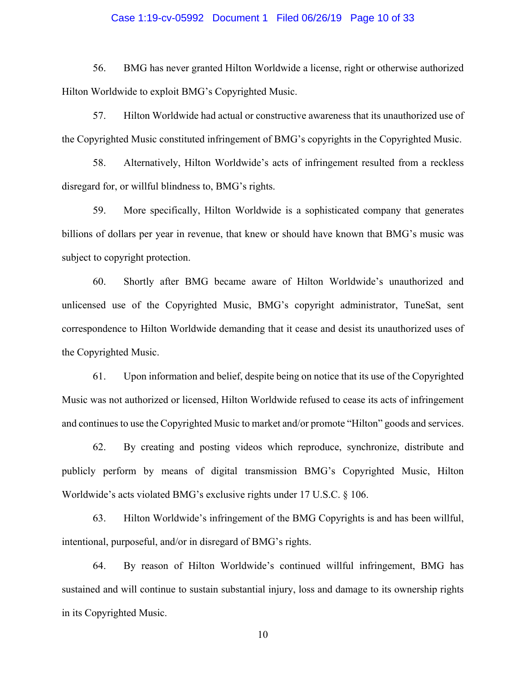#### Case 1:19-cv-05992 Document 1 Filed 06/26/19 Page 10 of 33

56. BMG has never granted Hilton Worldwide a license, right or otherwise authorized Hilton Worldwide to exploit BMG's Copyrighted Music.

57. Hilton Worldwide had actual or constructive awareness that its unauthorized use of the Copyrighted Music constituted infringement of BMG's copyrights in the Copyrighted Music.

58. Alternatively, Hilton Worldwide's acts of infringement resulted from a reckless disregard for, or willful blindness to, BMG's rights.

59. More specifically, Hilton Worldwide is a sophisticated company that generates billions of dollars per year in revenue, that knew or should have known that BMG's music was subject to copyright protection.

60. Shortly after BMG became aware of Hilton Worldwide's unauthorized and unlicensed use of the Copyrighted Music, BMG's copyright administrator, TuneSat, sent correspondence to Hilton Worldwide demanding that it cease and desist its unauthorized uses of the Copyrighted Music.

61. Upon information and belief, despite being on notice that its use of the Copyrighted Music was not authorized or licensed, Hilton Worldwide refused to cease its acts of infringement and continues to use the Copyrighted Music to market and/or promote "Hilton" goods and services.

62. By creating and posting videos which reproduce, synchronize, distribute and publicly perform by means of digital transmission BMG's Copyrighted Music, Hilton Worldwide's acts violated BMG's exclusive rights under 17 U.S.C. § 106.

63. Hilton Worldwide's infringement of the BMG Copyrights is and has been willful, intentional, purposeful, and/or in disregard of BMG's rights.

64. By reason of Hilton Worldwide's continued willful infringement, BMG has sustained and will continue to sustain substantial injury, loss and damage to its ownership rights in its Copyrighted Music.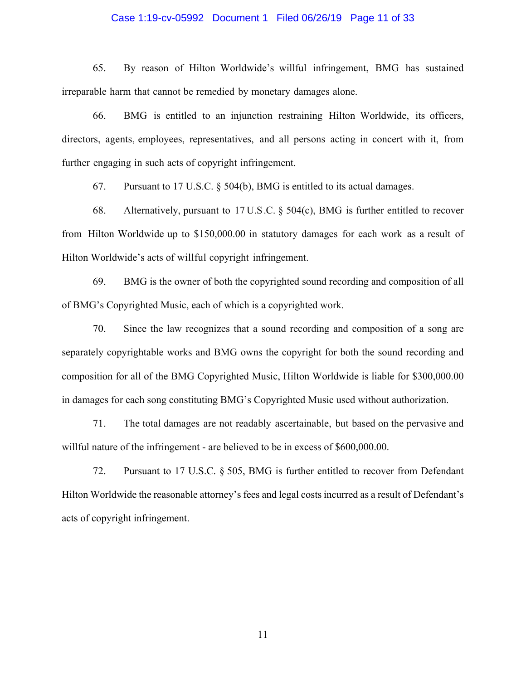#### Case 1:19-cv-05992 Document 1 Filed 06/26/19 Page 11 of 33

65. By reason of Hilton Worldwide's willful infringement, BMG has sustained irreparable harm that cannot be remedied by monetary damages alone.

66. BMG is entitled to an injunction restraining Hilton Worldwide, its officers, directors, agents, employees, representatives, and all persons acting in concert with it, from further engaging in such acts of copyright infringement.

67. Pursuant to 17 U.S.C. § 504(b), BMG is entitled to its actual damages.

68. Alternatively, pursuant to 17 U.S.C. § 504(c), BMG is further entitled to recover from Hilton Worldwide up to \$150,000.00 in statutory damages for each work as a result of Hilton Worldwide's acts of willful copyright infringement.

69. BMG is the owner of both the copyrighted sound recording and composition of all of BMG's Copyrighted Music, each of which is a copyrighted work.

70. Since the law recognizes that a sound recording and composition of a song are separately copyrightable works and BMG owns the copyright for both the sound recording and composition for all of the BMG Copyrighted Music, Hilton Worldwide is liable for \$300,000.00 in damages for each song constituting BMG's Copyrighted Music used without authorization.

71. The total damages are not readably ascertainable, but based on the pervasive and willful nature of the infringement - are believed to be in excess of \$600,000.00.

72. Pursuant to 17 U.S.C. § 505, BMG is further entitled to recover from Defendant Hilton Worldwide the reasonable attorney's fees and legal costs incurred as a result of Defendant's acts of copyright infringement.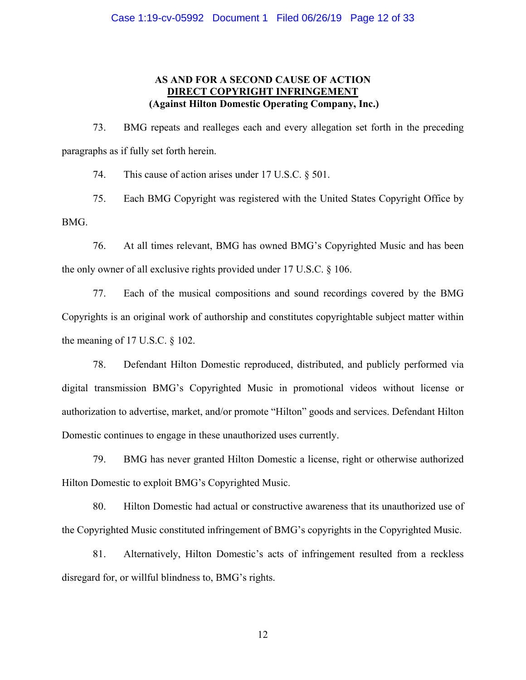#### Case 1:19-cv-05992 Document 1 Filed 06/26/19 Page 12 of 33

# **AS AND FOR A SECOND CAUSE OF ACTION DIRECT COPYRIGHT INFRINGEMENT (Against Hilton Domestic Operating Company, Inc.)**

73. BMG repeats and realleges each and every allegation set forth in the preceding paragraphs as if fully set forth herein.

74. This cause of action arises under 17 U.S.C. § 501.

75. Each BMG Copyright was registered with the United States Copyright Office by BMG.

76. At all times relevant, BMG has owned BMG's Copyrighted Music and has been the only owner of all exclusive rights provided under 17 U.S.C. § 106.

77. Each of the musical compositions and sound recordings covered by the BMG Copyrights is an original work of authorship and constitutes copyrightable subject matter within the meaning of 17 U.S.C. § 102.

78. Defendant Hilton Domestic reproduced, distributed, and publicly performed via digital transmission BMG's Copyrighted Music in promotional videos without license or authorization to advertise, market, and/or promote "Hilton" goods and services. Defendant Hilton Domestic continues to engage in these unauthorized uses currently.

79. BMG has never granted Hilton Domestic a license, right or otherwise authorized Hilton Domestic to exploit BMG's Copyrighted Music.

80. Hilton Domestic had actual or constructive awareness that its unauthorized use of the Copyrighted Music constituted infringement of BMG's copyrights in the Copyrighted Music.

81. Alternatively, Hilton Domestic's acts of infringement resulted from a reckless disregard for, or willful blindness to, BMG's rights.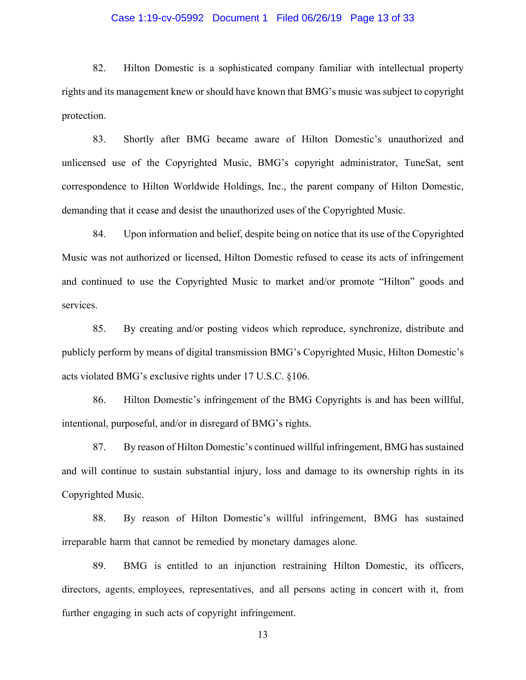#### Case 1:19-cv-05992 Document 1 Filed 06/26/19 Page 13 of 33

82. Hilton Domestic is a sophisticated company familiar with intellectual property rights and its management knew or should have known that BMG's music was subject to copyright protection.

83. Shortly after BMG became aware of Hilton Domestic's unauthorized and unlicensed use of the Copyrighted Music, BMG's copyright administrator, TuneSat, sent correspondence to Hilton Worldwide Holdings, Inc., the parent company of Hilton Domestic, demanding that it cease and desist the unauthorized uses of the Copyrighted Music.

84. Upon information and belief, despite being on notice that its use of the Copyrighted Music was not authorized or licensed, Hilton Domestic refused to cease its acts of infringement and continued to use the Copyrighted Music to market and/or promote "Hilton" goods and services.

85. By creating and/or posting videos which reproduce, synchronize, distribute and publicly perform by means of digital transmission BMG's Copyrighted Music, Hilton Domestic's acts violated BMG's exclusive rights under 17 U.S.C. §106.

86. Hilton Domestic's infringement of the BMG Copyrights is and has been willful, intentional, purposeful, and/or in disregard of BMG's rights.

87. By reason of Hilton Domestic's continued willful infringement, BMG has sustained and will continue to sustain substantial injury, loss and damage to its ownership rights in its Copyrighted Music.

88. By reason of Hilton Domestic's willful infringement, BMG has sustained irreparable harm that cannot be remedied by monetary damages alone.

89. BMG is entitled to an injunction restraining Hilton Domestic, its officers, directors, agents, employees, representatives, and all persons acting in concert with it, from further engaging in such acts of copyright infringement.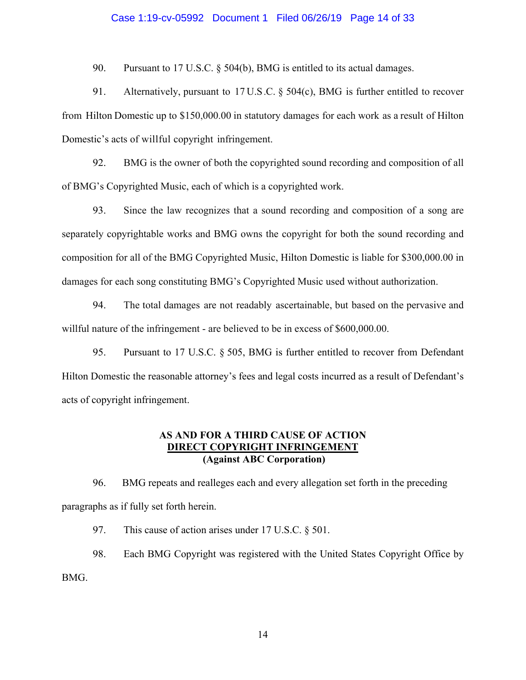#### Case 1:19-cv-05992 Document 1 Filed 06/26/19 Page 14 of 33

90. Pursuant to 17 U.S.C. § 504(b), BMG is entitled to its actual damages.

91. Alternatively, pursuant to 17 U.S.C. § 504(c), BMG is further entitled to recover from Hilton Domestic up to \$150,000.00 in statutory damages for each work as a result of Hilton Domestic's acts of willful copyright infringement.

92. BMG is the owner of both the copyrighted sound recording and composition of all of BMG's Copyrighted Music, each of which is a copyrighted work.

93. Since the law recognizes that a sound recording and composition of a song are separately copyrightable works and BMG owns the copyright for both the sound recording and composition for all of the BMG Copyrighted Music, Hilton Domestic is liable for \$300,000.00 in damages for each song constituting BMG's Copyrighted Music used without authorization.

94. The total damages are not readably ascertainable, but based on the pervasive and willful nature of the infringement - are believed to be in excess of \$600,000.00.

95. Pursuant to 17 U.S.C. § 505, BMG is further entitled to recover from Defendant Hilton Domestic the reasonable attorney's fees and legal costs incurred as a result of Defendant's acts of copyright infringement.

## **AS AND FOR A THIRD CAUSE OF ACTION DIRECT COPYRIGHT INFRINGEMENT (Against ABC Corporation)**

96. BMG repeats and realleges each and every allegation set forth in the preceding paragraphs as if fully set forth herein.

97. This cause of action arises under 17 U.S.C. § 501.

98. Each BMG Copyright was registered with the United States Copyright Office by BMG.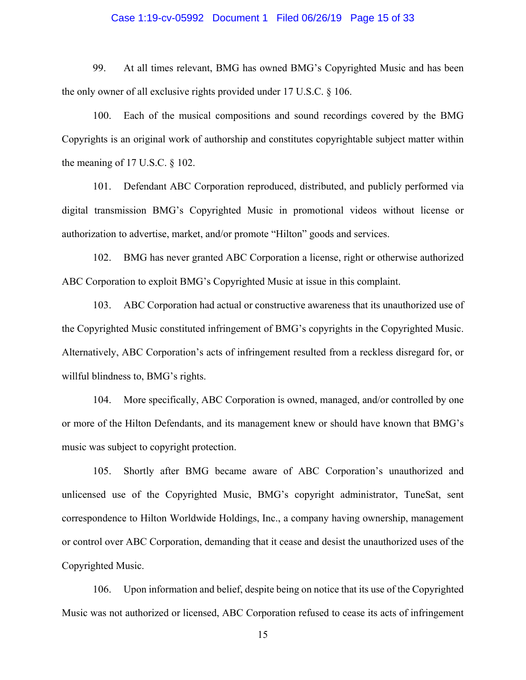#### Case 1:19-cv-05992 Document 1 Filed 06/26/19 Page 15 of 33

99. At all times relevant, BMG has owned BMG's Copyrighted Music and has been the only owner of all exclusive rights provided under 17 U.S.C. § 106.

100. Each of the musical compositions and sound recordings covered by the BMG Copyrights is an original work of authorship and constitutes copyrightable subject matter within the meaning of 17 U.S.C. § 102.

101. Defendant ABC Corporation reproduced, distributed, and publicly performed via digital transmission BMG's Copyrighted Music in promotional videos without license or authorization to advertise, market, and/or promote "Hilton" goods and services.

102. BMG has never granted ABC Corporation a license, right or otherwise authorized ABC Corporation to exploit BMG's Copyrighted Music at issue in this complaint.

103. ABC Corporation had actual or constructive awareness that its unauthorized use of the Copyrighted Music constituted infringement of BMG's copyrights in the Copyrighted Music. Alternatively, ABC Corporation's acts of infringement resulted from a reckless disregard for, or willful blindness to, BMG's rights.

104. More specifically, ABC Corporation is owned, managed, and/or controlled by one or more of the Hilton Defendants, and its management knew or should have known that BMG's music was subject to copyright protection.

105. Shortly after BMG became aware of ABC Corporation's unauthorized and unlicensed use of the Copyrighted Music, BMG's copyright administrator, TuneSat, sent correspondence to Hilton Worldwide Holdings, Inc., a company having ownership, management or control over ABC Corporation, demanding that it cease and desist the unauthorized uses of the Copyrighted Music.

106. Upon information and belief, despite being on notice that its use of the Copyrighted Music was not authorized or licensed, ABC Corporation refused to cease its acts of infringement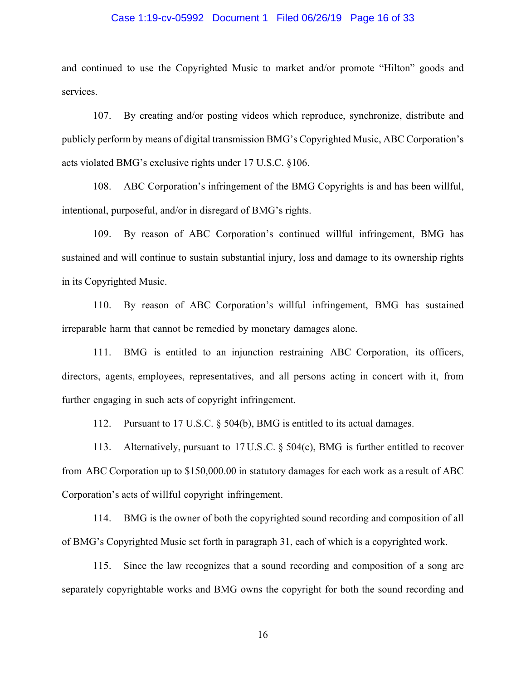#### Case 1:19-cv-05992 Document 1 Filed 06/26/19 Page 16 of 33

and continued to use the Copyrighted Music to market and/or promote "Hilton" goods and services.

107. By creating and/or posting videos which reproduce, synchronize, distribute and publicly perform by means of digital transmission BMG's Copyrighted Music, ABC Corporation's acts violated BMG's exclusive rights under 17 U.S.C. §106.

108. ABC Corporation's infringement of the BMG Copyrights is and has been willful, intentional, purposeful, and/or in disregard of BMG's rights.

109. By reason of ABC Corporation's continued willful infringement, BMG has sustained and will continue to sustain substantial injury, loss and damage to its ownership rights in its Copyrighted Music.

110. By reason of ABC Corporation's willful infringement, BMG has sustained irreparable harm that cannot be remedied by monetary damages alone.

111. BMG is entitled to an injunction restraining ABC Corporation, its officers, directors, agents, employees, representatives, and all persons acting in concert with it, from further engaging in such acts of copyright infringement.

112. Pursuant to 17 U.S.C. § 504(b), BMG is entitled to its actual damages.

113. Alternatively, pursuant to 17 U.S.C. § 504(c), BMG is further entitled to recover from ABC Corporation up to \$150,000.00 in statutory damages for each work as a result of ABC Corporation's acts of willful copyright infringement.

114. BMG is the owner of both the copyrighted sound recording and composition of all of BMG's Copyrighted Music set forth in paragraph 31, each of which is a copyrighted work.

115. Since the law recognizes that a sound recording and composition of a song are separately copyrightable works and BMG owns the copyright for both the sound recording and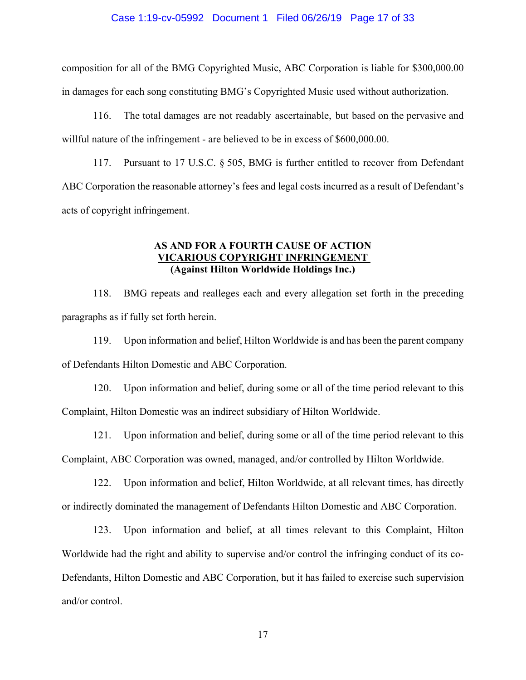### Case 1:19-cv-05992 Document 1 Filed 06/26/19 Page 17 of 33

composition for all of the BMG Copyrighted Music, ABC Corporation is liable for \$300,000.00 in damages for each song constituting BMG's Copyrighted Music used without authorization.

116. The total damages are not readably ascertainable, but based on the pervasive and willful nature of the infringement - are believed to be in excess of \$600,000.00.

117. Pursuant to 17 U.S.C. § 505, BMG is further entitled to recover from Defendant ABC Corporation the reasonable attorney's fees and legal costs incurred as a result of Defendant's acts of copyright infringement.

# **AS AND FOR A FOURTH CAUSE OF ACTION VICARIOUS COPYRIGHT INFRINGEMENT (Against Hilton Worldwide Holdings Inc.)**

118. BMG repeats and realleges each and every allegation set forth in the preceding paragraphs as if fully set forth herein.

119. Upon information and belief, Hilton Worldwide is and has been the parent company of Defendants Hilton Domestic and ABC Corporation.

120. Upon information and belief, during some or all of the time period relevant to this Complaint, Hilton Domestic was an indirect subsidiary of Hilton Worldwide.

121. Upon information and belief, during some or all of the time period relevant to this Complaint, ABC Corporation was owned, managed, and/or controlled by Hilton Worldwide.

122. Upon information and belief, Hilton Worldwide, at all relevant times, has directly or indirectly dominated the management of Defendants Hilton Domestic and ABC Corporation.

123. Upon information and belief, at all times relevant to this Complaint, Hilton Worldwide had the right and ability to supervise and/or control the infringing conduct of its co-Defendants, Hilton Domestic and ABC Corporation, but it has failed to exercise such supervision and/or control.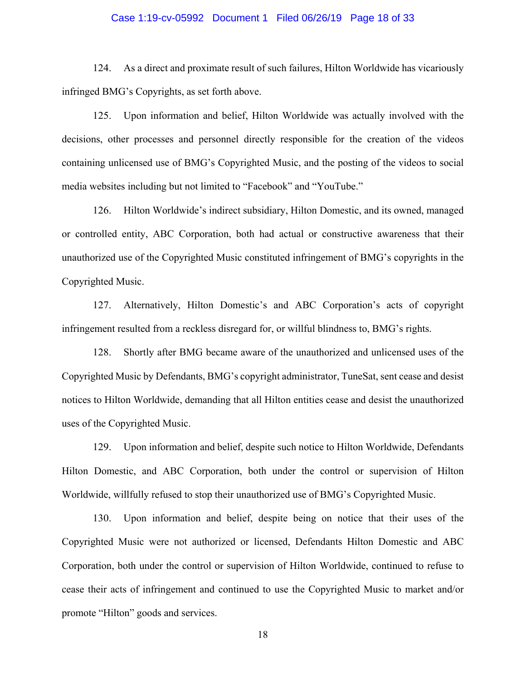#### Case 1:19-cv-05992 Document 1 Filed 06/26/19 Page 18 of 33

124. As a direct and proximate result of such failures, Hilton Worldwide has vicariously infringed BMG's Copyrights, as set forth above.

125. Upon information and belief, Hilton Worldwide was actually involved with the decisions, other processes and personnel directly responsible for the creation of the videos containing unlicensed use of BMG's Copyrighted Music, and the posting of the videos to social media websites including but not limited to "Facebook" and "YouTube."

126. Hilton Worldwide's indirect subsidiary, Hilton Domestic, and its owned, managed or controlled entity, ABC Corporation, both had actual or constructive awareness that their unauthorized use of the Copyrighted Music constituted infringement of BMG's copyrights in the Copyrighted Music.

127. Alternatively, Hilton Domestic's and ABC Corporation's acts of copyright infringement resulted from a reckless disregard for, or willful blindness to, BMG's rights.

128. Shortly after BMG became aware of the unauthorized and unlicensed uses of the Copyrighted Music by Defendants, BMG's copyright administrator, TuneSat, sent cease and desist notices to Hilton Worldwide, demanding that all Hilton entities cease and desist the unauthorized uses of the Copyrighted Music.

129. Upon information and belief, despite such notice to Hilton Worldwide, Defendants Hilton Domestic, and ABC Corporation, both under the control or supervision of Hilton Worldwide, willfully refused to stop their unauthorized use of BMG's Copyrighted Music.

130. Upon information and belief, despite being on notice that their uses of the Copyrighted Music were not authorized or licensed, Defendants Hilton Domestic and ABC Corporation, both under the control or supervision of Hilton Worldwide, continued to refuse to cease their acts of infringement and continued to use the Copyrighted Music to market and/or promote "Hilton" goods and services.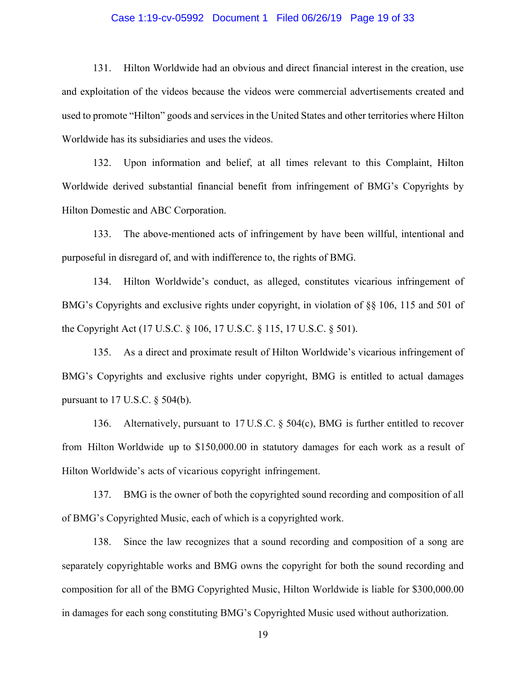#### Case 1:19-cv-05992 Document 1 Filed 06/26/19 Page 19 of 33

131. Hilton Worldwide had an obvious and direct financial interest in the creation, use and exploitation of the videos because the videos were commercial advertisements created and used to promote "Hilton" goods and services in the United States and other territories where Hilton Worldwide has its subsidiaries and uses the videos.

132. Upon information and belief, at all times relevant to this Complaint, Hilton Worldwide derived substantial financial benefit from infringement of BMG's Copyrights by Hilton Domestic and ABC Corporation.

133. The above-mentioned acts of infringement by have been willful, intentional and purposeful in disregard of, and with indifference to, the rights of BMG.

134. Hilton Worldwide's conduct, as alleged, constitutes vicarious infringement of BMG's Copyrights and exclusive rights under copyright, in violation of §§ 106, 115 and 501 of the Copyright Act (17 U.S.C. § 106, 17 U.S.C. § 115, 17 U.S.C. § 501).

135. As a direct and proximate result of Hilton Worldwide's vicarious infringement of BMG's Copyrights and exclusive rights under copyright, BMG is entitled to actual damages pursuant to  $17$  U.S.C.  $\S$  504(b).

136. Alternatively, pursuant to 17 U.S.C. § 504(c), BMG is further entitled to recover from Hilton Worldwide up to \$150,000.00 in statutory damages for each work as a result of Hilton Worldwide's acts of vicarious copyright infringement.

137. BMG is the owner of both the copyrighted sound recording and composition of all of BMG's Copyrighted Music, each of which is a copyrighted work.

138. Since the law recognizes that a sound recording and composition of a song are separately copyrightable works and BMG owns the copyright for both the sound recording and composition for all of the BMG Copyrighted Music, Hilton Worldwide is liable for \$300,000.00 in damages for each song constituting BMG's Copyrighted Music used without authorization.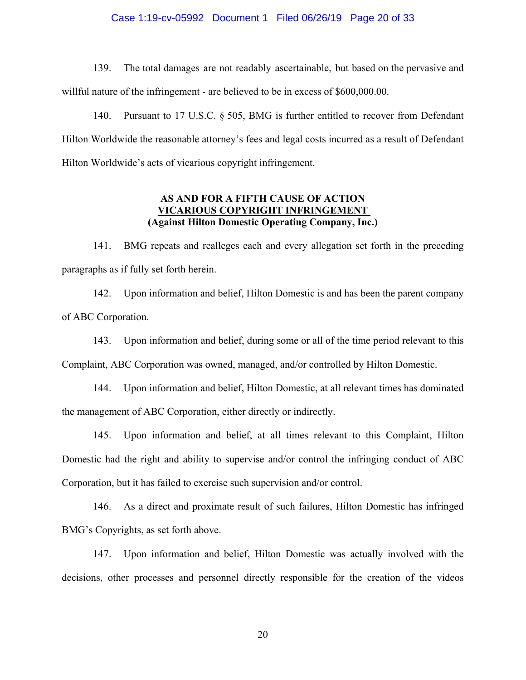#### Case 1:19-cv-05992 Document 1 Filed 06/26/19 Page 20 of 33

139. The total damages are not readably ascertainable, but based on the pervasive and willful nature of the infringement - are believed to be in excess of \$600,000.00.

140. Pursuant to 17 U.S.C. § 505, BMG is further entitled to recover from Defendant Hilton Worldwide the reasonable attorney's fees and legal costs incurred as a result of Defendant Hilton Worldwide's acts of vicarious copyright infringement.

## **AS AND FOR A FIFTH CAUSE OF ACTION VICARIOUS COPYRIGHT INFRINGEMENT (Against Hilton Domestic Operating Company, Inc.)**

141. BMG repeats and realleges each and every allegation set forth in the preceding paragraphs as if fully set forth herein.

142. Upon information and belief, Hilton Domestic is and has been the parent company of ABC Corporation.

143. Upon information and belief, during some or all of the time period relevant to this Complaint, ABC Corporation was owned, managed, and/or controlled by Hilton Domestic.

144. Upon information and belief, Hilton Domestic, at all relevant times has dominated the management of ABC Corporation, either directly or indirectly.

145. Upon information and belief, at all times relevant to this Complaint, Hilton Domestic had the right and ability to supervise and/or control the infringing conduct of ABC Corporation, but it has failed to exercise such supervision and/or control.

146. As a direct and proximate result of such failures, Hilton Domestic has infringed BMG's Copyrights, as set forth above.

147. Upon information and belief, Hilton Domestic was actually involved with the decisions, other processes and personnel directly responsible for the creation of the videos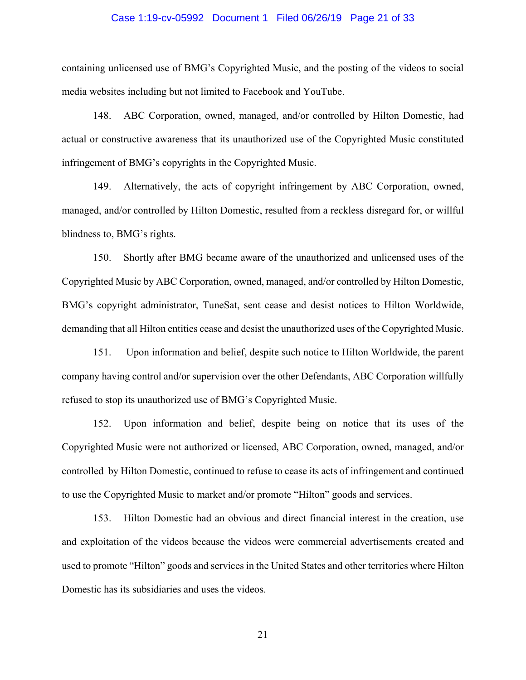#### Case 1:19-cv-05992 Document 1 Filed 06/26/19 Page 21 of 33

containing unlicensed use of BMG's Copyrighted Music, and the posting of the videos to social media websites including but not limited to Facebook and YouTube.

148. ABC Corporation, owned, managed, and/or controlled by Hilton Domestic, had actual or constructive awareness that its unauthorized use of the Copyrighted Music constituted infringement of BMG's copyrights in the Copyrighted Music.

149. Alternatively, the acts of copyright infringement by ABC Corporation, owned, managed, and/or controlled by Hilton Domestic, resulted from a reckless disregard for, or willful blindness to, BMG's rights.

150. Shortly after BMG became aware of the unauthorized and unlicensed uses of the Copyrighted Music by ABC Corporation, owned, managed, and/or controlled by Hilton Domestic, BMG's copyright administrator, TuneSat, sent cease and desist notices to Hilton Worldwide, demanding that all Hilton entities cease and desist the unauthorized uses of the Copyrighted Music.

151. Upon information and belief, despite such notice to Hilton Worldwide, the parent company having control and/or supervision over the other Defendants, ABC Corporation willfully refused to stop its unauthorized use of BMG's Copyrighted Music.

152. Upon information and belief, despite being on notice that its uses of the Copyrighted Music were not authorized or licensed, ABC Corporation, owned, managed, and/or controlled by Hilton Domestic, continued to refuse to cease its acts of infringement and continued to use the Copyrighted Music to market and/or promote "Hilton" goods and services.

153. Hilton Domestic had an obvious and direct financial interest in the creation, use and exploitation of the videos because the videos were commercial advertisements created and used to promote "Hilton" goods and services in the United States and other territories where Hilton Domestic has its subsidiaries and uses the videos.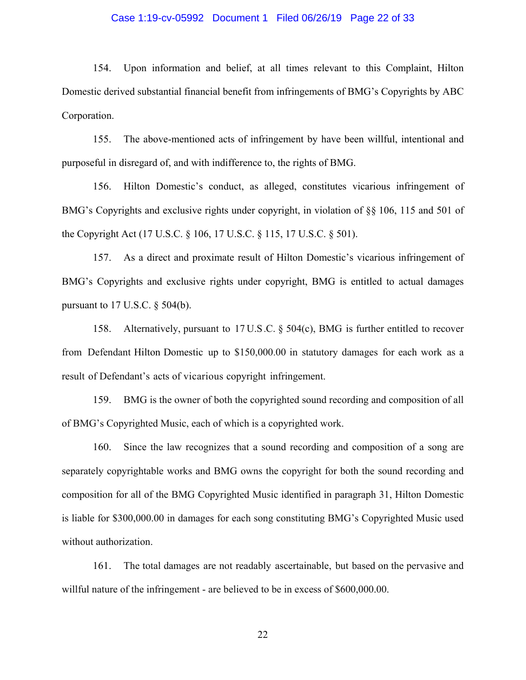#### Case 1:19-cv-05992 Document 1 Filed 06/26/19 Page 22 of 33

154. Upon information and belief, at all times relevant to this Complaint, Hilton Domestic derived substantial financial benefit from infringements of BMG's Copyrights by ABC Corporation.

155. The above-mentioned acts of infringement by have been willful, intentional and purposeful in disregard of, and with indifference to, the rights of BMG.

156. Hilton Domestic's conduct, as alleged, constitutes vicarious infringement of BMG's Copyrights and exclusive rights under copyright, in violation of §§ 106, 115 and 501 of the Copyright Act (17 U.S.C. § 106, 17 U.S.C. § 115, 17 U.S.C. § 501).

157. As a direct and proximate result of Hilton Domestic's vicarious infringement of BMG's Copyrights and exclusive rights under copyright, BMG is entitled to actual damages pursuant to  $17$  U.S.C.  $\S$  504(b).

158. Alternatively, pursuant to 17 U.S.C. § 504(c), BMG is further entitled to recover from Defendant Hilton Domestic up to \$150,000.00 in statutory damages for each work as a result of Defendant's acts of vicarious copyright infringement.

159. BMG is the owner of both the copyrighted sound recording and composition of all of BMG's Copyrighted Music, each of which is a copyrighted work.

160. Since the law recognizes that a sound recording and composition of a song are separately copyrightable works and BMG owns the copyright for both the sound recording and composition for all of the BMG Copyrighted Music identified in paragraph 31, Hilton Domestic is liable for \$300,000.00 in damages for each song constituting BMG's Copyrighted Music used without authorization.

161. The total damages are not readably ascertainable, but based on the pervasive and willful nature of the infringement - are believed to be in excess of \$600,000.00.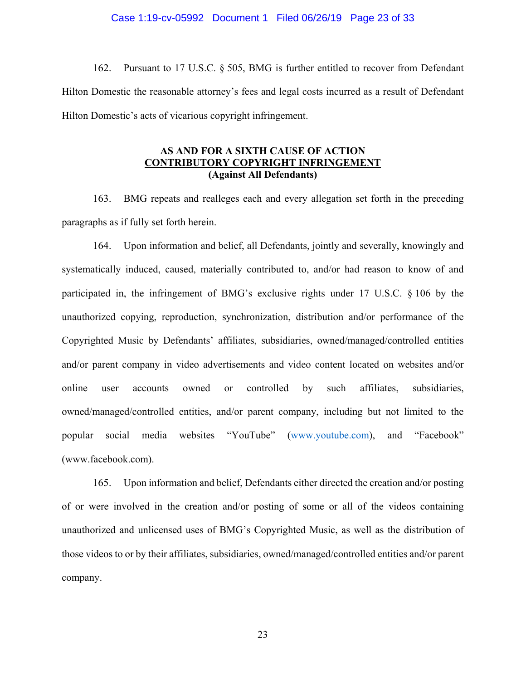#### Case 1:19-cv-05992 Document 1 Filed 06/26/19 Page 23 of 33

162. Pursuant to 17 U.S.C. § 505, BMG is further entitled to recover from Defendant Hilton Domestic the reasonable attorney's fees and legal costs incurred as a result of Defendant Hilton Domestic's acts of vicarious copyright infringement.

## **AS AND FOR A SIXTH CAUSE OF ACTION CONTRIBUTORY COPYRIGHT INFRINGEMENT (Against All Defendants)**

163. BMG repeats and realleges each and every allegation set forth in the preceding paragraphs as if fully set forth herein.

164. Upon information and belief, all Defendants, jointly and severally, knowingly and systematically induced, caused, materially contributed to, and/or had reason to know of and participated in, the infringement of BMG's exclusive rights under 17 U.S.C. § 106 by the unauthorized copying, reproduction, synchronization, distribution and/or performance of the Copyrighted Music by Defendants' affiliates, subsidiaries, owned/managed/controlled entities and/or parent company in video advertisements and video content located on websites and/or online user accounts owned or controlled by such affiliates, subsidiaries, owned/managed/controlled entities, and/or parent company, including but not limited to the popular social media websites "YouTube" (www.youtube.com), and "Facebook" (www.facebook.com).

165. Upon information and belief, Defendants either directed the creation and/or posting of or were involved in the creation and/or posting of some or all of the videos containing unauthorized and unlicensed uses of BMG's Copyrighted Music, as well as the distribution of those videos to or by their affiliates, subsidiaries, owned/managed/controlled entities and/or parent company.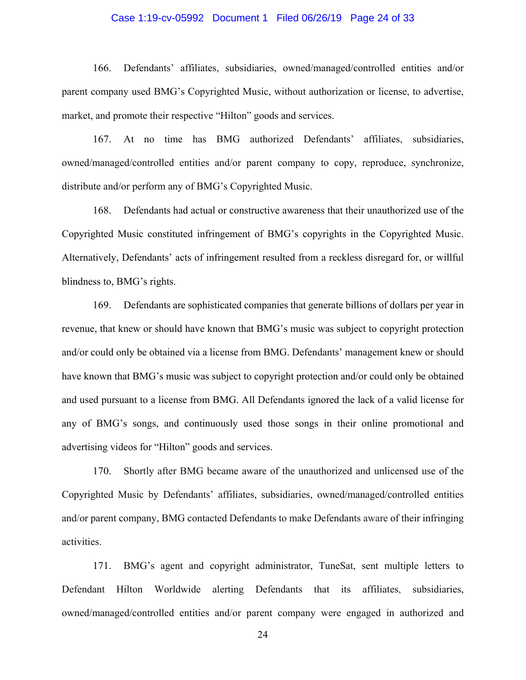#### Case 1:19-cv-05992 Document 1 Filed 06/26/19 Page 24 of 33

166. Defendants' affiliates, subsidiaries, owned/managed/controlled entities and/or parent company used BMG's Copyrighted Music, without authorization or license, to advertise, market, and promote their respective "Hilton" goods and services.

167. At no time has BMG authorized Defendants' affiliates, subsidiaries, owned/managed/controlled entities and/or parent company to copy, reproduce, synchronize, distribute and/or perform any of BMG's Copyrighted Music.

168. Defendants had actual or constructive awareness that their unauthorized use of the Copyrighted Music constituted infringement of BMG's copyrights in the Copyrighted Music. Alternatively, Defendants' acts of infringement resulted from a reckless disregard for, or willful blindness to, BMG's rights.

169. Defendants are sophisticated companies that generate billions of dollars per year in revenue, that knew or should have known that BMG's music was subject to copyright protection and/or could only be obtained via a license from BMG. Defendants' management knew or should have known that BMG's music was subject to copyright protection and/or could only be obtained and used pursuant to a license from BMG. All Defendants ignored the lack of a valid license for any of BMG's songs, and continuously used those songs in their online promotional and advertising videos for "Hilton" goods and services.

170. Shortly after BMG became aware of the unauthorized and unlicensed use of the Copyrighted Music by Defendants' affiliates, subsidiaries, owned/managed/controlled entities and/or parent company, BMG contacted Defendants to make Defendants aware of their infringing activities.

171. BMG's agent and copyright administrator, TuneSat, sent multiple letters to Defendant Hilton Worldwide alerting Defendants that its affiliates, subsidiaries, owned/managed/controlled entities and/or parent company were engaged in authorized and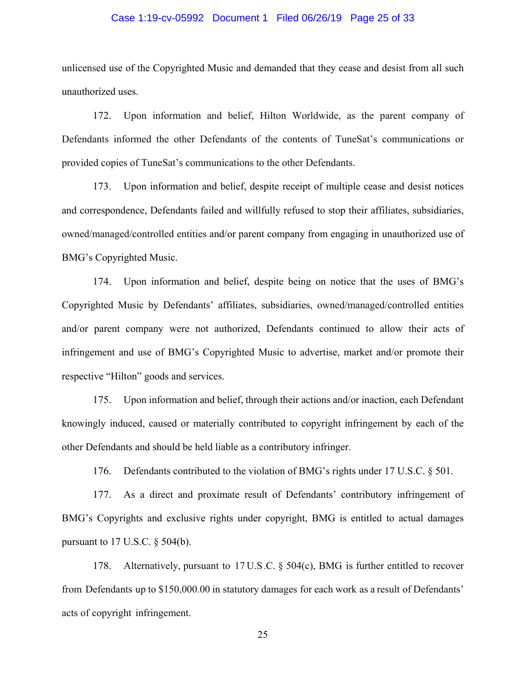#### Case 1:19-cv-05992 Document 1 Filed 06/26/19 Page 25 of 33

unlicensed use of the Copyrighted Music and demanded that they cease and desist from all such unauthorized uses.

172. Upon information and belief, Hilton Worldwide, as the parent company of Defendants informed the other Defendants of the contents of TuneSat's communications or provided copies of TuneSat's communications to the other Defendants.

173. Upon information and belief, despite receipt of multiple cease and desist notices and correspondence, Defendants failed and willfully refused to stop their affiliates, subsidiaries, owned/managed/controlled entities and/or parent company from engaging in unauthorized use of BMG's Copyrighted Music.

174. Upon information and belief, despite being on notice that the uses of BMG's Copyrighted Music by Defendants' affiliates, subsidiaries, owned/managed/controlled entities and/or parent company were not authorized, Defendants continued to allow their acts of infringement and use of BMG's Copyrighted Music to advertise, market and/or promote their respective "Hilton" goods and services.

175. Upon information and belief, through their actions and/or inaction, each Defendant knowingly induced, caused or materially contributed to copyright infringement by each of the other Defendants and should be held liable as a contributory infringer.

176. Defendants contributed to the violation of BMG's rights under 17 U.S.C. § 501.

177. As a direct and proximate result of Defendants' contributory infringement of BMG's Copyrights and exclusive rights under copyright, BMG is entitled to actual damages pursuant to 17 U.S.C. § 504(b).

178. Alternatively, pursuant to 17 U.S.C. § 504(c), BMG is further entitled to recover from Defendants up to \$150,000.00 in statutory damages for each work as a result of Defendants' acts of copyright infringement.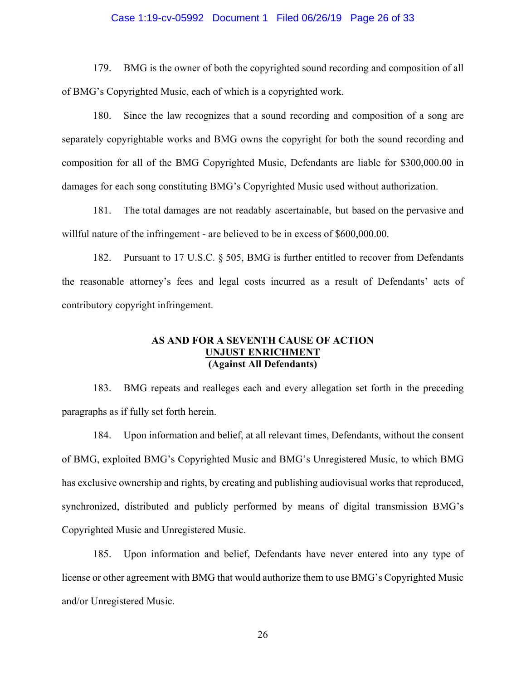#### Case 1:19-cv-05992 Document 1 Filed 06/26/19 Page 26 of 33

179. BMG is the owner of both the copyrighted sound recording and composition of all of BMG's Copyrighted Music, each of which is a copyrighted work.

180. Since the law recognizes that a sound recording and composition of a song are separately copyrightable works and BMG owns the copyright for both the sound recording and composition for all of the BMG Copyrighted Music, Defendants are liable for \$300,000.00 in damages for each song constituting BMG's Copyrighted Music used without authorization.

181. The total damages are not readably ascertainable, but based on the pervasive and willful nature of the infringement - are believed to be in excess of \$600,000.00.

182. Pursuant to 17 U.S.C. § 505, BMG is further entitled to recover from Defendants the reasonable attorney's fees and legal costs incurred as a result of Defendants' acts of contributory copyright infringement.

### **AS AND FOR A SEVENTH CAUSE OF ACTION UNJUST ENRICHMENT (Against All Defendants)**

183. BMG repeats and realleges each and every allegation set forth in the preceding paragraphs as if fully set forth herein.

184. Upon information and belief, at all relevant times, Defendants, without the consent of BMG, exploited BMG's Copyrighted Music and BMG's Unregistered Music, to which BMG has exclusive ownership and rights, by creating and publishing audiovisual works that reproduced, synchronized, distributed and publicly performed by means of digital transmission BMG's Copyrighted Music and Unregistered Music.

185. Upon information and belief, Defendants have never entered into any type of license or other agreement with BMG that would authorize them to use BMG's Copyrighted Music and/or Unregistered Music.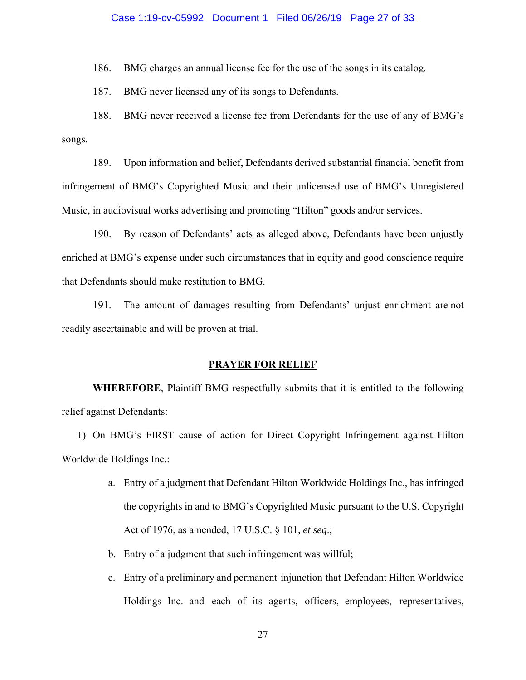#### Case 1:19-cv-05992 Document 1 Filed 06/26/19 Page 27 of 33

186. BMG charges an annual license fee for the use of the songs in its catalog.

187. BMG never licensed any of its songs to Defendants.

188. BMG never received a license fee from Defendants for the use of any of BMG's songs.

189. Upon information and belief, Defendants derived substantial financial benefit from infringement of BMG's Copyrighted Music and their unlicensed use of BMG's Unregistered Music, in audiovisual works advertising and promoting "Hilton" goods and/or services.

190. By reason of Defendants' acts as alleged above, Defendants have been unjustly enriched at BMG's expense under such circumstances that in equity and good conscience require that Defendants should make restitution to BMG.

191. The amount of damages resulting from Defendants' unjust enrichment are not readily ascertainable and will be proven at trial.

#### **PRAYER FOR RELIEF**

**WHEREFORE**, Plaintiff BMG respectfully submits that it is entitled to the following relief against Defendants:

1) On BMG's FIRST cause of action for Direct Copyright Infringement against Hilton Worldwide Holdings Inc.:

- a. Entry of a judgment that Defendant Hilton Worldwide Holdings Inc., has infringed the copyrights in and to BMG's Copyrighted Music pursuant to the U.S. Copyright Act of 1976, as amended, 17 U.S.C. § 101*, et seq*.;
- b. Entry of a judgment that such infringement was willful;
- c. Entry of a preliminary and permanent injunction that Defendant Hilton Worldwide Holdings Inc. and each of its agents, officers, employees, representatives,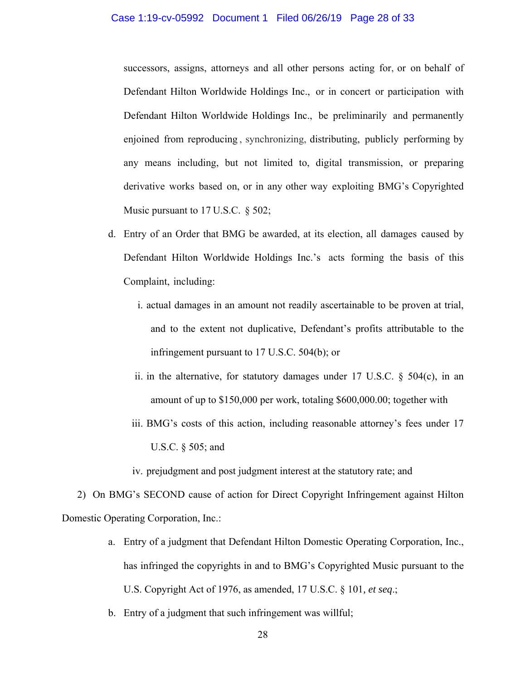#### Case 1:19-cv-05992 Document 1 Filed 06/26/19 Page 28 of 33

successors, assigns, attorneys and all other persons acting for, or on behalf of Defendant Hilton Worldwide Holdings Inc., or in concert or participation with Defendant Hilton Worldwide Holdings Inc., be preliminarily and permanently enjoined from reproducing , synchronizing, distributing, publicly performing by any means including, but not limited to, digital transmission, or preparing derivative works based on, or in any other way exploiting BMG's Copyrighted Music pursuant to 17 U.S.C. § 502;

- d. Entry of an Order that BMG be awarded, at its election, all damages caused by Defendant Hilton Worldwide Holdings Inc.'s acts forming the basis of this Complaint, including:
	- i. actual damages in an amount not readily ascertainable to be proven at trial, and to the extent not duplicative, Defendant's profits attributable to the infringement pursuant to 17 U.S.C. 504(b); or
	- ii. in the alternative, for statutory damages under 17 U.S.C.  $\S$  504(c), in an amount of up to \$150,000 per work, totaling \$600,000.00; together with
	- iii. BMG's costs of this action, including reasonable attorney's fees under 17 U.S.C. § 505; and

iv. prejudgment and post judgment interest at the statutory rate; and

2) On BMG's SECOND cause of action for Direct Copyright Infringement against Hilton Domestic Operating Corporation, Inc.:

- a. Entry of a judgment that Defendant Hilton Domestic Operating Corporation, Inc., has infringed the copyrights in and to BMG's Copyrighted Music pursuant to the U.S. Copyright Act of 1976, as amended, 17 U.S.C. § 101*, et seq*.;
- b. Entry of a judgment that such infringement was willful;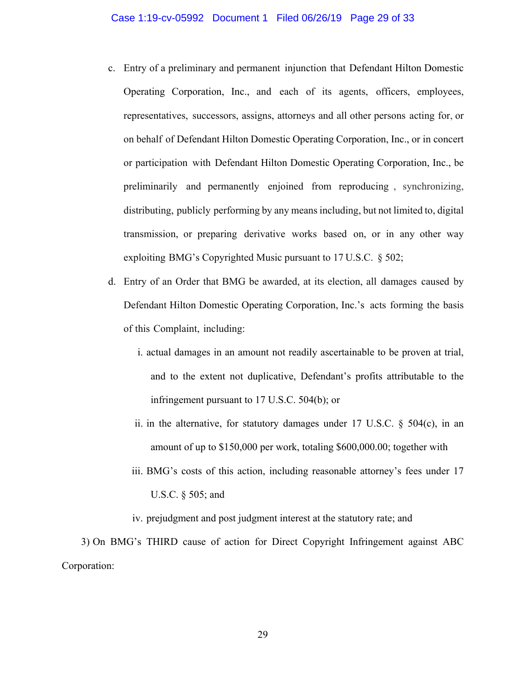- c. Entry of a preliminary and permanent injunction that Defendant Hilton Domestic Operating Corporation, Inc., and each of its agents, officers, employees, representatives, successors, assigns, attorneys and all other persons acting for, or on behalf of Defendant Hilton Domestic Operating Corporation, Inc., or in concert or participation with Defendant Hilton Domestic Operating Corporation, Inc., be preliminarily and permanently enjoined from reproducing , synchronizing, distributing, publicly performing by any means including, but not limited to, digital transmission, or preparing derivative works based on, or in any other way exploiting BMG's Copyrighted Music pursuant to 17 U.S.C. § 502;
- d. Entry of an Order that BMG be awarded, at its election, all damages caused by Defendant Hilton Domestic Operating Corporation, Inc.'s acts forming the basis of this Complaint, including:
	- i. actual damages in an amount not readily ascertainable to be proven at trial, and to the extent not duplicative, Defendant's profits attributable to the infringement pursuant to 17 U.S.C. 504(b); or
	- ii. in the alternative, for statutory damages under 17 U.S.C.  $\S$  504(c), in an amount of up to \$150,000 per work, totaling \$600,000.00; together with
	- iii. BMG's costs of this action, including reasonable attorney's fees under 17 U.S.C. § 505; and

iv. prejudgment and post judgment interest at the statutory rate; and

3) On BMG's THIRD cause of action for Direct Copyright Infringement against ABC Corporation: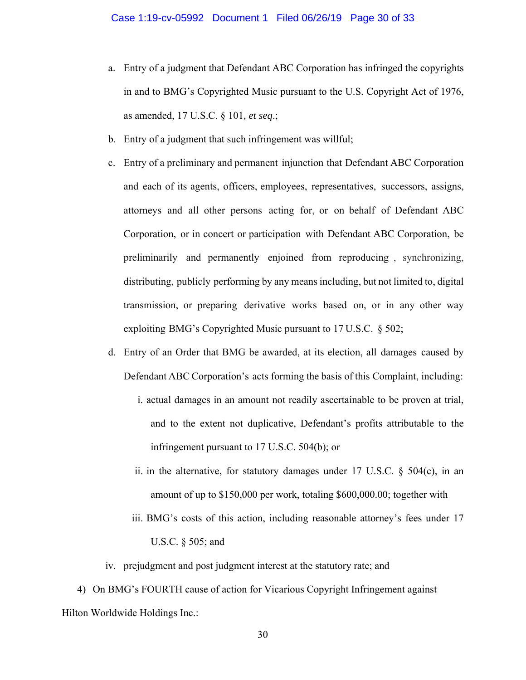- a. Entry of a judgment that Defendant ABC Corporation has infringed the copyrights in and to BMG's Copyrighted Music pursuant to the U.S. Copyright Act of 1976, as amended, 17 U.S.C. § 101*, et seq*.;
- b. Entry of a judgment that such infringement was willful;
- c. Entry of a preliminary and permanent injunction that Defendant ABC Corporation and each of its agents, officers, employees, representatives, successors, assigns, attorneys and all other persons acting for, or on behalf of Defendant ABC Corporation, or in concert or participation with Defendant ABC Corporation, be preliminarily and permanently enjoined from reproducing , synchronizing, distributing, publicly performing by any means including, but not limited to, digital transmission, or preparing derivative works based on, or in any other way exploiting BMG's Copyrighted Music pursuant to 17 U.S.C. § 502;
- d. Entry of an Order that BMG be awarded, at its election, all damages caused by Defendant ABC Corporation's acts forming the basis of this Complaint, including:
	- i. actual damages in an amount not readily ascertainable to be proven at trial, and to the extent not duplicative, Defendant's profits attributable to the infringement pursuant to 17 U.S.C. 504(b); or
	- ii. in the alternative, for statutory damages under 17 U.S.C.  $\S$  504(c), in an amount of up to \$150,000 per work, totaling \$600,000.00; together with
	- iii. BMG's costs of this action, including reasonable attorney's fees under 17 U.S.C. § 505; and
- iv. prejudgment and post judgment interest at the statutory rate; and

4) On BMG's FOURTH cause of action for Vicarious Copyright Infringement against Hilton Worldwide Holdings Inc.: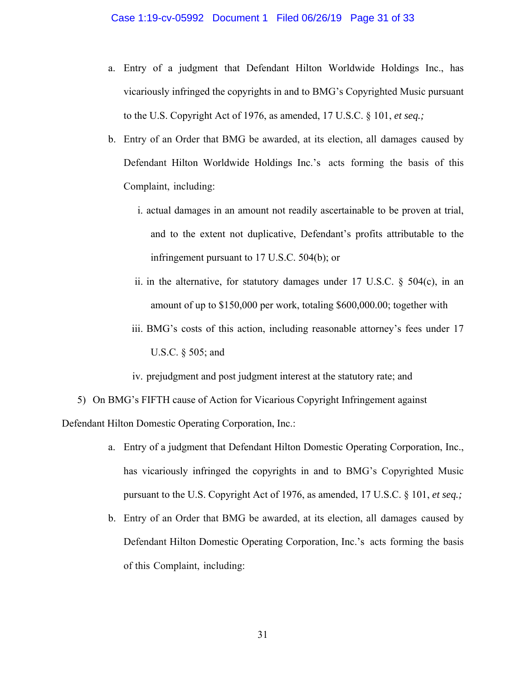- a. Entry of a judgment that Defendant Hilton Worldwide Holdings Inc., has vicariously infringed the copyrights in and to BMG's Copyrighted Music pursuant to the U.S. Copyright Act of 1976, as amended, 17 U.S.C. § 101, *et seq.;*
- b. Entry of an Order that BMG be awarded, at its election, all damages caused by Defendant Hilton Worldwide Holdings Inc.'s acts forming the basis of this Complaint, including:
	- i. actual damages in an amount not readily ascertainable to be proven at trial, and to the extent not duplicative, Defendant's profits attributable to the infringement pursuant to 17 U.S.C. 504(b); or
	- ii. in the alternative, for statutory damages under 17 U.S.C.  $\S$  504(c), in an amount of up to \$150,000 per work, totaling \$600,000.00; together with
	- iii. BMG's costs of this action, including reasonable attorney's fees under 17 U.S.C. § 505; and

iv. prejudgment and post judgment interest at the statutory rate; and

5) On BMG's FIFTH cause of Action for Vicarious Copyright Infringement against Defendant Hilton Domestic Operating Corporation, Inc.:

- a. Entry of a judgment that Defendant Hilton Domestic Operating Corporation, Inc., has vicariously infringed the copyrights in and to BMG's Copyrighted Music pursuant to the U.S. Copyright Act of 1976, as amended, 17 U.S.C. § 101, *et seq.;*
- b. Entry of an Order that BMG be awarded, at its election, all damages caused by Defendant Hilton Domestic Operating Corporation, Inc.'s acts forming the basis of this Complaint, including: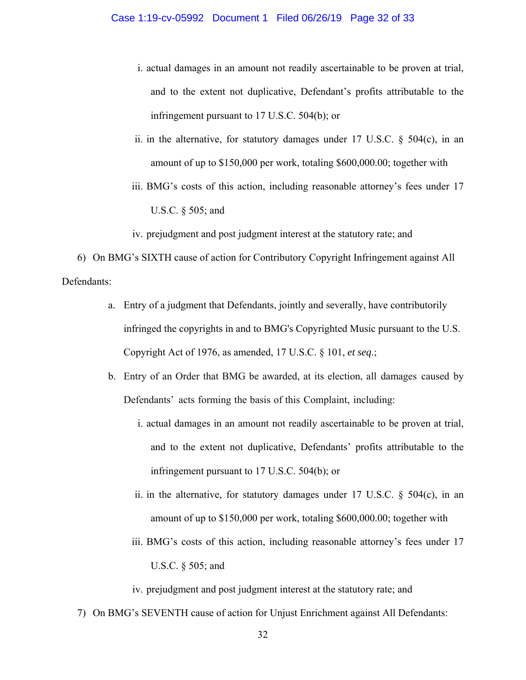- i. actual damages in an amount not readily ascertainable to be proven at trial, and to the extent not duplicative, Defendant's profits attributable to the infringement pursuant to 17 U.S.C. 504(b); or
- ii. in the alternative, for statutory damages under 17 U.S.C.  $\S$  504(c), in an amount of up to \$150,000 per work, totaling \$600,000.00; together with
- iii. BMG's costs of this action, including reasonable attorney's fees under 17 U.S.C. § 505; and

iv. prejudgment and post judgment interest at the statutory rate; and

6) On BMG's SIXTH cause of action for Contributory Copyright Infringement against All Defendants:

- a. Entry of a judgment that Defendants, jointly and severally, have contributorily infringed the copyrights in and to BMG's Copyrighted Music pursuant to the U.S. Copyright Act of 1976, as amended, 17 U.S.C. § 101, *et seq*.;
- b. Entry of an Order that BMG be awarded, at its election, all damages caused by Defendants' acts forming the basis of this Complaint, including:
	- i. actual damages in an amount not readily ascertainable to be proven at trial, and to the extent not duplicative, Defendants' profits attributable to the infringement pursuant to 17 U.S.C. 504(b); or
	- ii. in the alternative, for statutory damages under 17 U.S.C.  $\S$  504(c), in an amount of up to \$150,000 per work, totaling \$600,000.00; together with
	- iii. BMG's costs of this action, including reasonable attorney's fees under 17 U.S.C. § 505; and

iv. prejudgment and post judgment interest at the statutory rate; and

7) On BMG's SEVENTH cause of action for Unjust Enrichment against All Defendants: